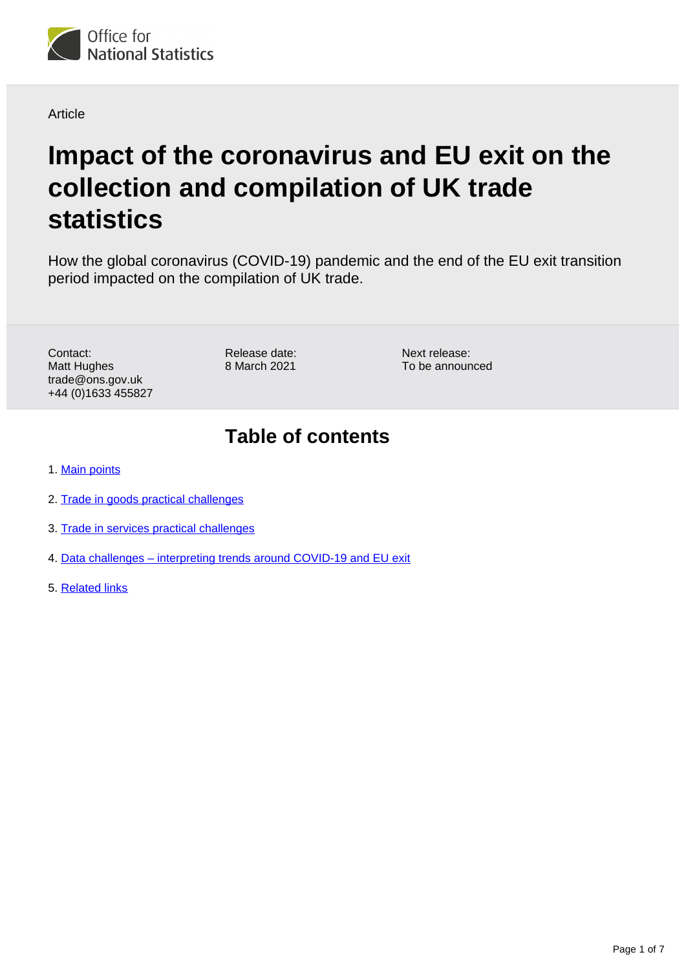

Article

# **Impact of the coronavirus and EU exit on the collection and compilation of UK trade statistics**

How the global coronavirus (COVID-19) pandemic and the end of the EU exit transition period impacted on the compilation of UK trade.

Contact: Matt Hughes trade@ons.gov.uk +44 (0)1633 455827 Release date: 8 March 2021

Next release: To be announced

## **Table of contents**

- 1. [Main points](#page-1-0)
- 2. [Trade in goods practical challenges](#page-1-1)
- 3. [Trade in services practical challenges](#page-3-0)
- 4. [Data challenges interpreting trends around COVID-19 and EU exit](#page-4-0)
- 5. [Related links](#page-6-0)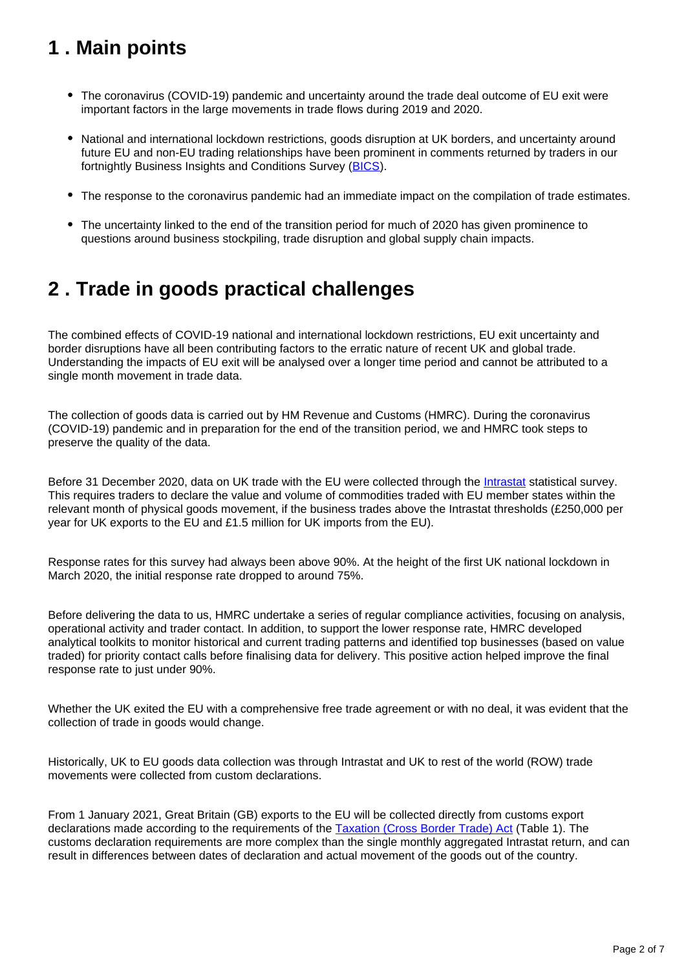## <span id="page-1-0"></span>**1 . Main points**

- The coronavirus (COVID-19) pandemic and uncertainty around the trade deal outcome of EU exit were important factors in the large movements in trade flows during 2019 and 2020.
- National and international lockdown restrictions, goods disruption at UK borders, and uncertainty around future EU and non-EU trading relationships have been prominent in comments returned by traders in our fortnightly Business Insights and Conditions Survey ([BICS\)](https://www.ons.gov.uk/economy/economicoutputandproductivity/output/datasets/businessinsightsandimpactontheukeconomy).
- The response to the coronavirus pandemic had an immediate impact on the compilation of trade estimates.
- The uncertainty linked to the end of the transition period for much of 2020 has given prominence to questions around business stockpiling, trade disruption and global supply chain impacts.

## <span id="page-1-1"></span>**2 . Trade in goods practical challenges**

The combined effects of COVID-19 national and international lockdown restrictions, EU exit uncertainty and border disruptions have all been contributing factors to the erratic nature of recent UK and global trade. Understanding the impacts of EU exit will be analysed over a longer time period and cannot be attributed to a single month movement in trade data.

The collection of goods data is carried out by HM Revenue and Customs (HMRC). During the coronavirus (COVID-19) pandemic and in preparation for the end of the transition period, we and HMRC took steps to preserve the quality of the data.

Before 31 December 2020, data on UK trade with the EU were collected through the [Intrastat](https://www.uktradeinfo.com/intrastat/help/#general-guide-to-intrastat) statistical survey. This requires traders to declare the value and volume of commodities traded with EU member states within the relevant month of physical goods movement, if the business trades above the Intrastat thresholds (£250,000 per year for UK exports to the EU and £1.5 million for UK imports from the EU).

Response rates for this survey had always been above 90%. At the height of the first UK national lockdown in March 2020, the initial response rate dropped to around 75%.

Before delivering the data to us, HMRC undertake a series of regular compliance activities, focusing on analysis, operational activity and trader contact. In addition, to support the lower response rate, HMRC developed analytical toolkits to monitor historical and current trading patterns and identified top businesses (based on value traded) for priority contact calls before finalising data for delivery. This positive action helped improve the final response rate to just under 90%.

Whether the UK exited the EU with a comprehensive free trade agreement or with no deal, it was evident that the collection of trade in goods would change.

Historically, UK to EU goods data collection was through Intrastat and UK to rest of the world (ROW) trade movements were collected from custom declarations.

From 1 January 2021, Great Britain (GB) exports to the EU will be collected directly from customs export declarations made according to the requirements of the **Taxation (Cross Border Trade) Act** (Table 1). The customs declaration requirements are more complex than the single monthly aggregated Intrastat return, and can result in differences between dates of declaration and actual movement of the goods out of the country.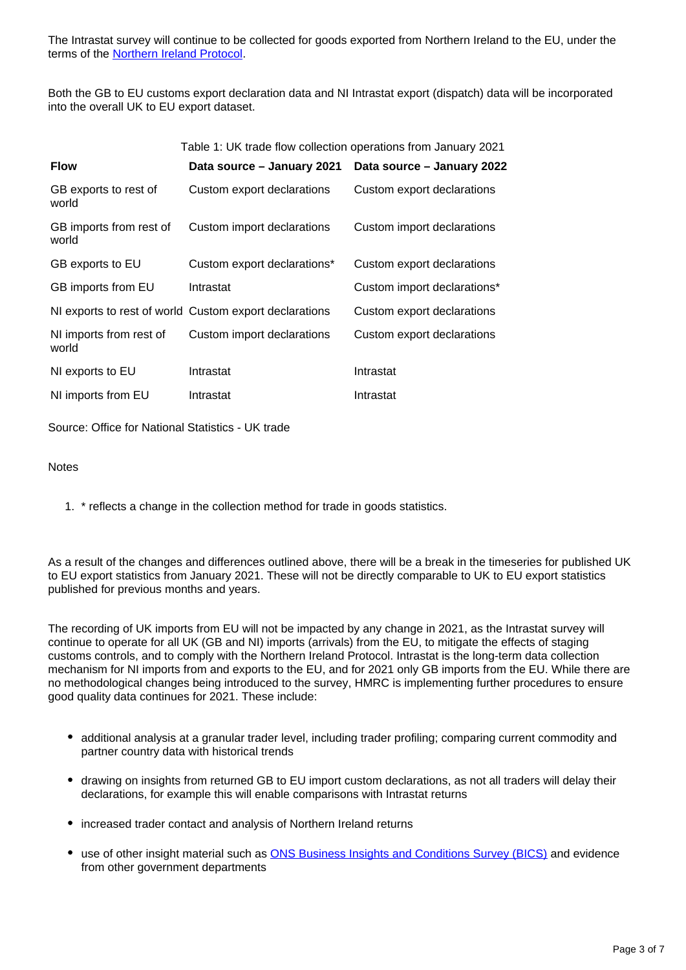The Intrastat survey will continue to be collected for goods exported from Northern Ireland to the EU, under the terms of the [Northern Ireland Protocol.](https://www.gov.uk/government/publications/the-northern-ireland-protocol)

Both the GB to EU customs export declaration data and NI Intrastat export (dispatch) data will be incorporated into the overall UK to EU export dataset.

|                                  | Table 1: UK trade flow collection operations from January 2021 |                             |
|----------------------------------|----------------------------------------------------------------|-----------------------------|
| <b>Flow</b>                      | Data source – January 2021                                     | Data source - January 2022  |
| GB exports to rest of<br>world   | Custom export declarations                                     | Custom export declarations  |
| GB imports from rest of<br>world | Custom import declarations                                     | Custom import declarations  |
| GB exports to EU                 | Custom export declarations*                                    | Custom export declarations  |
| GB imports from EU               | Intrastat                                                      | Custom import declarations* |
|                                  | NI exports to rest of world Custom export declarations         | Custom export declarations  |
| NI imports from rest of<br>world | Custom import declarations                                     | Custom export declarations  |
| NI exports to EU                 | Intrastat                                                      | Intrastat                   |
| NI imports from EU               | Intrastat                                                      | Intrastat                   |

Source: Office for National Statistics - UK trade

### **Notes**

1. \* reflects a change in the collection method for trade in goods statistics.

As a result of the changes and differences outlined above, there will be a break in the timeseries for published UK to EU export statistics from January 2021. These will not be directly comparable to UK to EU export statistics published for previous months and years.

The recording of UK imports from EU will not be impacted by any change in 2021, as the Intrastat survey will continue to operate for all UK (GB and NI) imports (arrivals) from the EU, to mitigate the effects of staging customs controls, and to comply with the Northern Ireland Protocol. Intrastat is the long-term data collection mechanism for NI imports from and exports to the EU, and for 2021 only GB imports from the EU. While there are no methodological changes being introduced to the survey, HMRC is implementing further procedures to ensure good quality data continues for 2021. These include:

- additional analysis at a granular trader level, including trader profiling; comparing current commodity and partner country data with historical trends
- drawing on insights from returned GB to EU import custom declarations, as not all traders will delay their declarations, for example this will enable comparisons with Intrastat returns
- increased trader contact and analysis of Northern Ireland returns
- use of other insight material such as [ONS Business Insights and Conditions Survey \(BICS\)](https://www.ons.gov.uk/economy/economicoutputandproductivity/output/datasets/businessinsightsandimpactontheukeconomy) and evidence from other government departments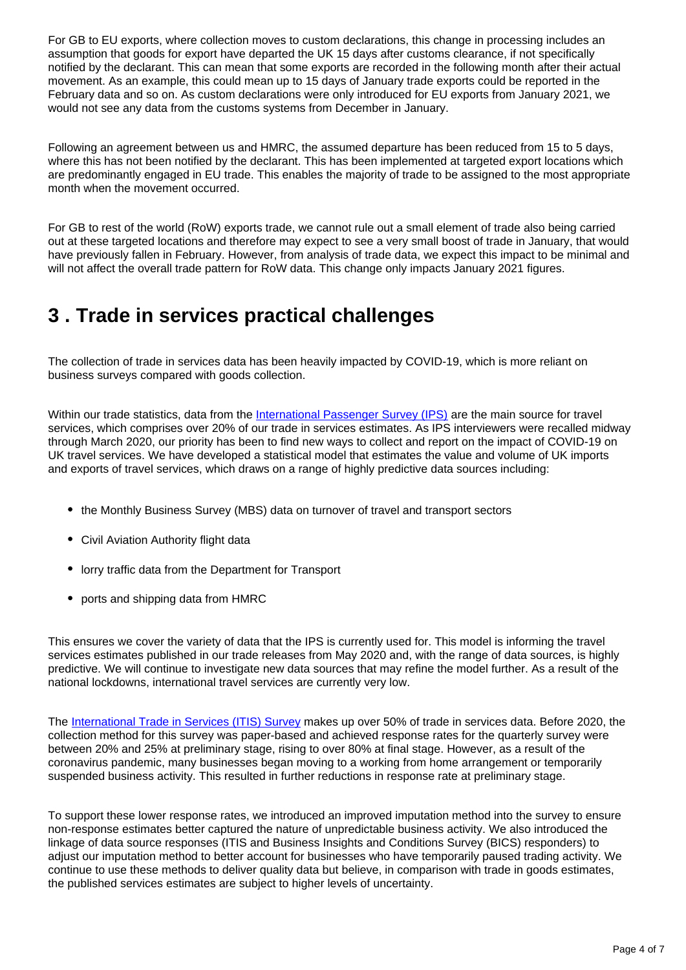For GB to EU exports, where collection moves to custom declarations, this change in processing includes an assumption that goods for export have departed the UK 15 days after customs clearance, if not specifically notified by the declarant. This can mean that some exports are recorded in the following month after their actual movement. As an example, this could mean up to 15 days of January trade exports could be reported in the February data and so on. As custom declarations were only introduced for EU exports from January 2021, we would not see any data from the customs systems from December in January.

Following an agreement between us and HMRC, the assumed departure has been reduced from 15 to 5 days, where this has not been notified by the declarant. This has been implemented at targeted export locations which are predominantly engaged in EU trade. This enables the majority of trade to be assigned to the most appropriate month when the movement occurred.

For GB to rest of the world (RoW) exports trade, we cannot rule out a small element of trade also being carried out at these targeted locations and therefore may expect to see a very small boost of trade in January, that would have previously fallen in February. However, from analysis of trade data, we expect this impact to be minimal and will not affect the overall trade pattern for RoW data. This change only impacts January 2021 figures.

## <span id="page-3-0"></span>**3 . Trade in services practical challenges**

The collection of trade in services data has been heavily impacted by COVID-19, which is more reliant on business surveys compared with goods collection.

Within our trade statistics, data from the [International Passenger Survey \(IPS\)](https://www.ons.gov.uk/surveys/informationforhouseholdsandindividuals/householdandindividualsurveys/internationalpassengersurvey) are the main source for travel services, which comprises over 20% of our trade in services estimates. As IPS interviewers were recalled midway through March 2020, our priority has been to find new ways to collect and report on the impact of COVID-19 on UK travel services. We have developed a statistical model that estimates the value and volume of UK imports and exports of travel services, which draws on a range of highly predictive data sources including:

- the Monthly Business Survey (MBS) data on turnover of travel and transport sectors
- Civil Aviation Authority flight data
- lorry traffic data from the Department for Transport
- ports and shipping data from HMRC

This ensures we cover the variety of data that the IPS is currently used for. This model is informing the travel services estimates published in our trade releases from May 2020 and, with the range of data sources, is highly predictive. We will continue to investigate new data sources that may refine the model further. As a result of the national lockdowns, international travel services are currently very low.

The [International Trade in Services \(ITIS\) Survey](https://www.ons.gov.uk/businessindustryandtrade/internationaltrade/datasets/internationaltradeinservicesreferencetables) makes up over 50% of trade in services data. Before 2020, the collection method for this survey was paper-based and achieved response rates for the quarterly survey were between 20% and 25% at preliminary stage, rising to over 80% at final stage. However, as a result of the coronavirus pandemic, many businesses began moving to a working from home arrangement or temporarily suspended business activity. This resulted in further reductions in response rate at preliminary stage.

To support these lower response rates, we introduced an improved imputation method into the survey to ensure non-response estimates better captured the nature of unpredictable business activity. We also introduced the linkage of data source responses (ITIS and Business Insights and Conditions Survey (BICS) responders) to adjust our imputation method to better account for businesses who have temporarily paused trading activity. We continue to use these methods to deliver quality data but believe, in comparison with trade in goods estimates, the published services estimates are subject to higher levels of uncertainty.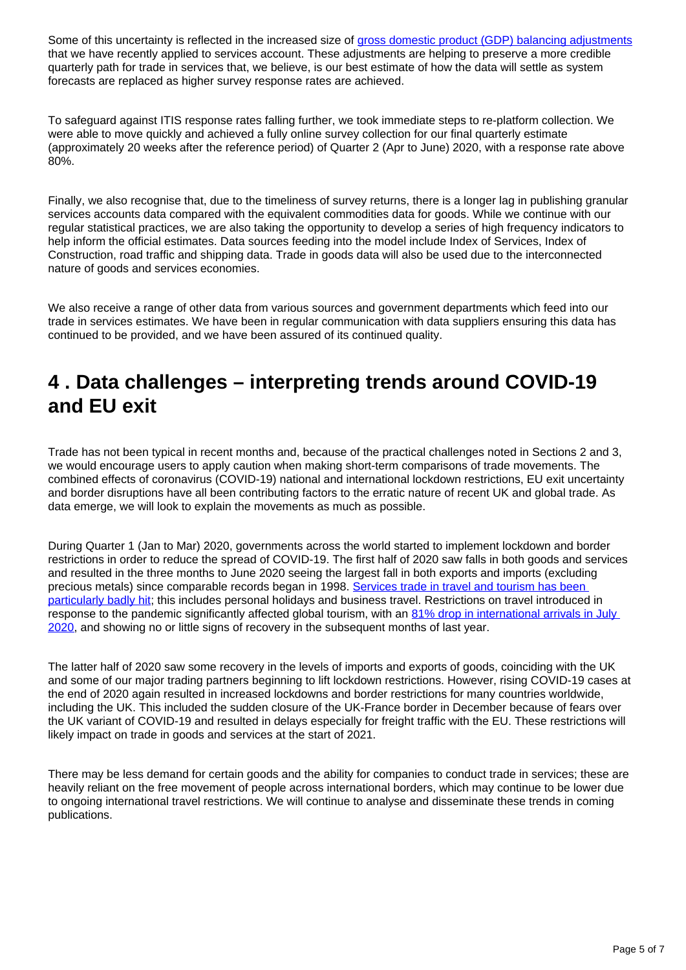Some of this uncertainty is reflected in the increased size of [gross domestic product \(GDP\) balancing adjustments](https://www.ons.gov.uk/economy/grossdomesticproductgdp/bulletins/quarterlynationalaccounts/julytoseptember2020) that we have recently applied to services account. These adjustments are helping to preserve a more credible quarterly path for trade in services that, we believe, is our best estimate of how the data will settle as system forecasts are replaced as higher survey response rates are achieved.

To safeguard against ITIS response rates falling further, we took immediate steps to re-platform collection. We were able to move quickly and achieved a fully online survey collection for our final quarterly estimate (approximately 20 weeks after the reference period) of Quarter 2 (Apr to June) 2020, with a response rate above 80%.

Finally, we also recognise that, due to the timeliness of survey returns, there is a longer lag in publishing granular services accounts data compared with the equivalent commodities data for goods. While we continue with our regular statistical practices, we are also taking the opportunity to develop a series of high frequency indicators to help inform the official estimates. Data sources feeding into the model include Index of Services, Index of Construction, road traffic and shipping data. Trade in goods data will also be used due to the interconnected nature of goods and services economies.

We also receive a range of other data from various sources and government departments which feed into our trade in services estimates. We have been in regular communication with data suppliers ensuring this data has continued to be provided, and we have been assured of its continued quality.

## <span id="page-4-0"></span>**4 . Data challenges – interpreting trends around COVID-19 and EU exit**

Trade has not been typical in recent months and, because of the practical challenges noted in Sections 2 and 3, we would encourage users to apply caution when making short-term comparisons of trade movements. The combined effects of coronavirus (COVID-19) national and international lockdown restrictions, EU exit uncertainty and border disruptions have all been contributing factors to the erratic nature of recent UK and global trade. As data emerge, we will look to explain the movements as much as possible.

During Quarter 1 (Jan to Mar) 2020, governments across the world started to implement lockdown and border restrictions in order to reduce the spread of COVID-19. The first half of 2020 saw falls in both goods and services and resulted in the three months to June 2020 seeing the largest fall in both exports and imports (excluding precious metals) since comparable records began in 1998. [Services trade in travel and tourism has been](https://www.ons.gov.uk/businessindustryandtrade/tourismindustry/articles/coronavirusandtheimpactontheuktravelandtourismindustry/2021-02-15)  [particularly badly hit](https://www.ons.gov.uk/businessindustryandtrade/tourismindustry/articles/coronavirusandtheimpactontheuktravelandtourismindustry/2021-02-15); this includes personal holidays and business travel. Restrictions on travel introduced in response to the pandemic significantly affected global tourism, with an 81% drop in international arrivals in July [2020](https://www.unwto.org/news/international-tourism-down-70-as-travel-restrictions-impact-all-regions), and showing no or little signs of recovery in the subsequent months of last year.

The latter half of 2020 saw some recovery in the levels of imports and exports of goods, coinciding with the UK and some of our major trading partners beginning to lift lockdown restrictions. However, rising COVID-19 cases at the end of 2020 again resulted in increased lockdowns and border restrictions for many countries worldwide, including the UK. This included the sudden closure of the UK-France border in December because of fears over the UK variant of COVID-19 and resulted in delays especially for freight traffic with the EU. These restrictions will likely impact on trade in goods and services at the start of 2021.

There may be less demand for certain goods and the ability for companies to conduct trade in services; these are heavily reliant on the free movement of people across international borders, which may continue to be lower due to ongoing international travel restrictions. We will continue to analyse and disseminate these trends in coming publications.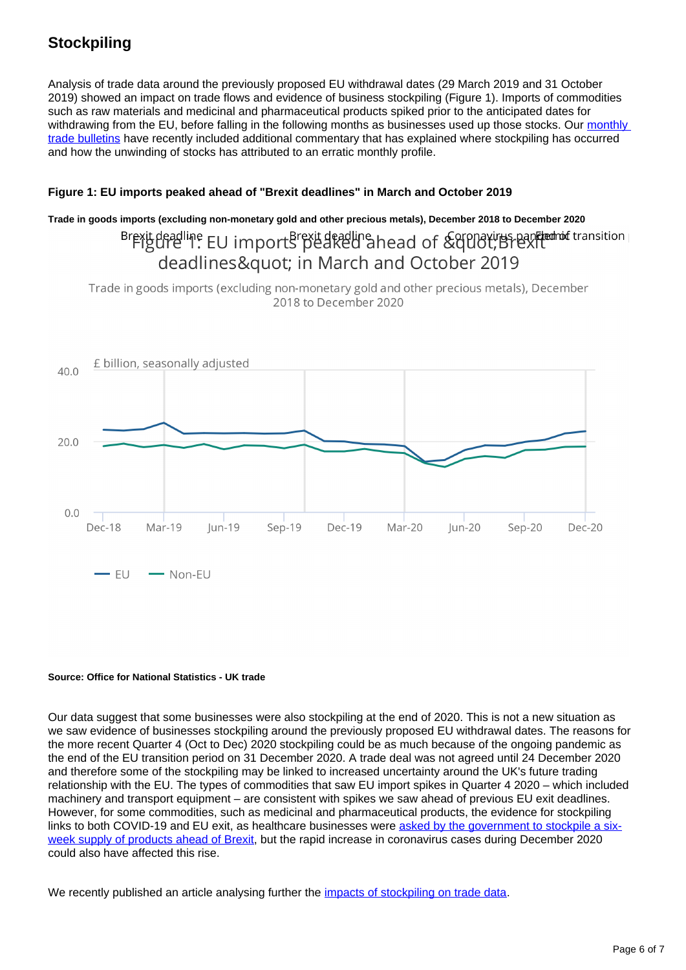### **Stockpiling**

Analysis of trade data around the previously proposed EU withdrawal dates (29 March 2019 and 31 October 2019) showed an impact on trade flows and evidence of business stockpiling (Figure 1). Imports of commodities such as raw materials and medicinal and pharmaceutical products spiked prior to the anticipated dates for withdrawing from the EU, before falling in the following months as businesses used up those stocks. Our monthly [trade bulletins](https://www.ons.gov.uk/economy/nationalaccounts/balanceofpayments/bulletins/uktrade/previousReleases) have recently included additional commentary that has explained where stockpiling has occurred and how the unwinding of stocks has attributed to an erratic monthly profile.

### **Figure 1: EU imports peaked ahead of "Brexit deadlines" in March and October 2019**

### **Trade in goods imports (excluding non-monetary gold and other precious metals), December 2018 to December 2020** Breit deadline EU imports put a control and of & approximate transition deadlines" in March and October 2019

Trade in goods imports (excluding non-monetary gold and other precious metals), December 2018 to December 2020



#### **Source: Office for National Statistics - UK trade**

Our data suggest that some businesses were also stockpiling at the end of 2020. This is not a new situation as we saw evidence of businesses stockpiling around the previously proposed EU withdrawal dates. The reasons for the more recent Quarter 4 (Oct to Dec) 2020 stockpiling could be as much because of the ongoing pandemic as the end of the EU transition period on 31 December 2020. A trade deal was not agreed until 24 December 2020 and therefore some of the stockpiling may be linked to increased uncertainty around the UK's future trading relationship with the EU. The types of commodities that saw EU import spikes in Quarter 4 2020 – which included machinery and transport equipment – are consistent with spikes we saw ahead of previous EU exit deadlines. However, for some commodities, such as medicinal and pharmaceutical products, the evidence for stockpiling links to both COVID-19 and EU exit, as healthcare businesses were [asked by the government to stockpile a six](https://www.independent.co.uk/news/health/medicine-supply-france-border-disruption-nhs-b1777160.html)[week supply of products ahead of Brexit,](https://www.independent.co.uk/news/health/medicine-supply-france-border-disruption-nhs-b1777160.html) but the rapid increase in coronavirus cases during December 2020 could also have affected this rise.

We recently published an article analysing further the [impacts of stockpiling on trade data.](https://www.ons.gov.uk/businessindustryandtrade/internationaltrade/articles/didukfirmsstockpileitemsaheadofthebrexitdeadline/2021-02-01)